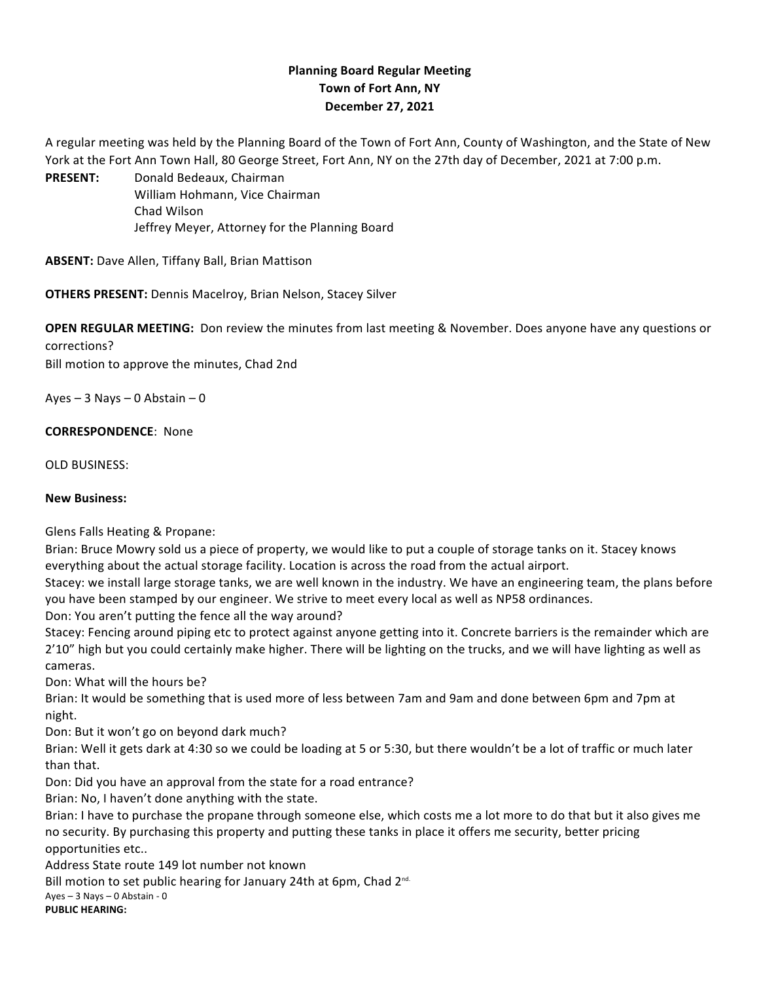## **Planning Board Regular Meeting Town of Fort Ann, NY December 27, 2021**

A regular meeting was held by the Planning Board of the Town of Fort Ann, County of Washington, and the State of New York at the Fort Ann Town Hall, 80 George Street, Fort Ann, NY on the 27th day of December, 2021 at 7:00 p.m.

PRESENT: Donald Bedeaux, Chairman William Hohmann, Vice Chairman Chad Wilson Jeffrey Meyer, Attorney for the Planning Board

**ABSENT:** Dave Allen, Tiffany Ball, Brian Mattison

**OTHERS PRESENT:** Dennis Macelroy, Brian Nelson, Stacey Silver

**OPEN REGULAR MEETING:** Don review the minutes from last meeting & November. Does anyone have any questions or corrections?

Bill motion to approve the minutes, Chad 2nd

Ayes  $-3$  Nays  $-0$  Abstain  $-0$ 

**CORRESPONDENCE:** None

OLD BUSINESS:

## **New Business:**

Glens Falls Heating & Propane:

Brian: Bruce Mowry sold us a piece of property, we would like to put a couple of storage tanks on it. Stacey knows everything about the actual storage facility. Location is across the road from the actual airport.

Stacey: we install large storage tanks, we are well known in the industry. We have an engineering team, the plans before you have been stamped by our engineer. We strive to meet every local as well as NP58 ordinances.

Don: You aren't putting the fence all the way around?

Stacey: Fencing around piping etc to protect against anyone getting into it. Concrete barriers is the remainder which are 2'10" high but you could certainly make higher. There will be lighting on the trucks, and we will have lighting as well as cameras.

Don: What will the hours be?

Brian: It would be something that is used more of less between 7am and 9am and done between 6pm and 7pm at night.

Don: But it won't go on beyond dark much?

Brian: Well it gets dark at 4:30 so we could be loading at 5 or 5:30, but there wouldn't be a lot of traffic or much later than that.

Don: Did you have an approval from the state for a road entrance?

Brian: No, I haven't done anything with the state.

Brian: I have to purchase the propane through someone else, which costs me a lot more to do that but it also gives me no security. By purchasing this property and putting these tanks in place it offers me security, better pricing opportunities etc..

Address State route 149 lot number not known

Bill motion to set public hearing for January 24th at 6pm, Chad 2<sup>nd.</sup> Ayes  $-3$  Nays  $-0$  Abstain - 0 **PUBLIC HEARING:**